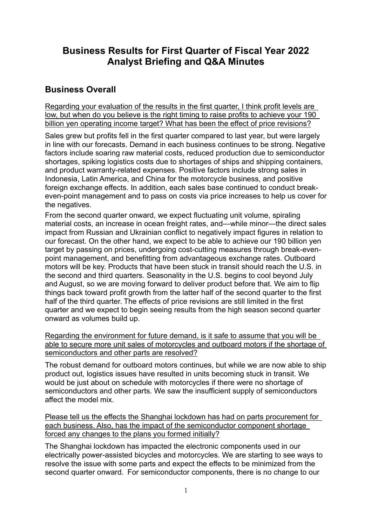# **Business Results for First Quarter of Fiscal Year 2022 Analyst Briefing and Q&A Minutes**

### **Business Overall**

Regarding your evaluation of the results in the first quarter, I think profit levels are low, but when do you believe is the right timing to raise profits to achieve your 190 billion yen operating income target? What has been the effect of price revisions?

Sales grew but profits fell in the first quarter compared to last year, but were largely in line with our forecasts. Demand in each business continues to be strong. Negative factors include soaring raw material costs, reduced production due to semiconductor shortages, spiking logistics costs due to shortages of ships and shipping containers, and product warranty-related expenses. Positive factors include strong sales in Indonesia, Latin America, and China for the motorcycle business, and positive foreign exchange effects. In addition, each sales base continued to conduct breakeven-point management and to pass on costs via price increases to help us cover for the negatives.

From the second quarter onward, we expect fluctuating unit volume, spiraling material costs, an increase in ocean freight rates, and—while minor—the direct sales impact from Russian and Ukrainian conflict to negatively impact figures in relation to our forecast. On the other hand, we expect to be able to achieve our 190 billion yen target by passing on prices, undergoing cost-cutting measures through break-evenpoint management, and benefitting from advantageous exchange rates. Outboard motors will be key. Products that have been stuck in transit should reach the U.S. in the second and third quarters. Seasonality in the U.S. begins to cool beyond July and August, so we are moving forward to deliver product before that. We aim to flip things back toward profit growth from the latter half of the second quarter to the first half of the third quarter. The effects of price revisions are still limited in the first quarter and we expect to begin seeing results from the high season second quarter onward as volumes build up.

Regarding the environment for future demand, is it safe to assume that you will be able to secure more unit sales of motorcycles and outboard motors if the shortage of semiconductors and other parts are resolved?

The robust demand for outboard motors continues, but while we are now able to ship product out, logistics issues have resulted in units becoming stuck in transit. We would be just about on schedule with motorcycles if there were no shortage of semiconductors and other parts. We saw the insufficient supply of semiconductors affect the model mix.

Please tell us the effects the Shanghai lockdown has had on parts procurement for each business. Also, has the impact of the semiconductor component shortage forced any changes to the plans you formed initially?

The Shanghai lockdown has impacted the electronic components used in our electrically power-assisted bicycles and motorcycles. We are starting to see ways to resolve the issue with some parts and expect the effects to be minimized from the second quarter onward. For semiconductor components, there is no change to our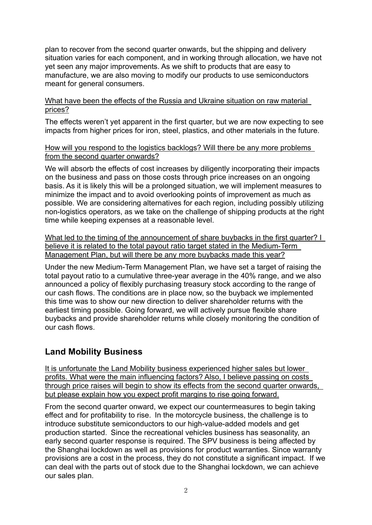plan to recover from the second quarter onwards, but the shipping and delivery situation varies for each component, and in working through allocation, we have not yet seen any major improvements. As we shift to products that are easy to manufacture, we are also moving to modify our products to use semiconductors meant for general consumers.

#### What have been the effects of the Russia and Ukraine situation on raw material prices?

The effects weren't yet apparent in the first quarter, but we are now expecting to see impacts from higher prices for iron, steel, plastics, and other materials in the future.

#### How will you respond to the logistics backlogs? Will there be any more problems from the second quarter onwards?

We will absorb the effects of cost increases by diligently incorporating their impacts on the business and pass on those costs through price increases on an ongoing basis. As it is likely this will be a prolonged situation, we will implement measures to minimize the impact and to avoid overlooking points of improvement as much as possible. We are considering alternatives for each region, including possibly utilizing non-logistics operators, as we take on the challenge of shipping products at the right time while keeping expenses at a reasonable level.

What led to the timing of the announcement of share buybacks in the first quarter? I believe it is related to the total payout ratio target stated in the Medium-Term Management Plan, but will there be any more buybacks made this year?

Under the new Medium-Term Management Plan, we have set a target of raising the total payout ratio to a cumulative three-year average in the 40% range, and we also announced a policy of flexibly purchasing treasury stock according to the range of our cash flows. The conditions are in place now, so the buyback we implemented this time was to show our new direction to deliver shareholder returns with the earliest timing possible. Going forward, we will actively pursue flexible share buybacks and provide shareholder returns while closely monitoring the condition of our cash flows.

## **Land Mobility Business**

It is unfortunate the Land Mobility business experienced higher sales but lower profits. What were the main influencing factors? Also, I believe passing on costs through price raises will begin to show its effects from the second quarter onwards, but please explain how you expect profit margins to rise going forward.

From the second quarter onward, we expect our countermeasures to begin taking effect and for profitability to rise. In the motorcycle business, the challenge is to introduce substitute semiconductors to our high-value-added models and get production started. Since the recreational vehicles business has seasonality, an early second quarter response is required. The SPV business is being affected by the Shanghai lockdown as well as provisions for product warranties. Since warranty provisions are a cost in the process, they do not constitute a significant impact. If we can deal with the parts out of stock due to the Shanghai lockdown, we can achieve our sales plan.